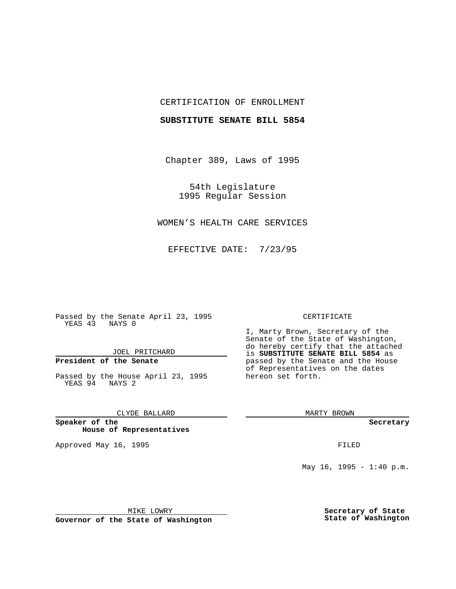### CERTIFICATION OF ENROLLMENT

#### **SUBSTITUTE SENATE BILL 5854**

Chapter 389, Laws of 1995

54th Legislature 1995 Regular Session

# WOMEN'S HEALTH CARE SERVICES

EFFECTIVE DATE: 7/23/95

Passed by the Senate April 23, 1995 YEAS 43 NAYS 0

JOEL PRITCHARD

# **President of the Senate**

Passed by the House April 23, 1995 YEAS 94 NAYS 2

CLYDE BALLARD

**Speaker of the House of Representatives**

Approved May 16, 1995 FILED

#### CERTIFICATE

I, Marty Brown, Secretary of the Senate of the State of Washington, do hereby certify that the attached is **SUBSTITUTE SENATE BILL 5854** as passed by the Senate and the House of Representatives on the dates hereon set forth.

MARTY BROWN

**Secretary**

May  $16$ ,  $1995 - 1:40$  p.m.

MIKE LOWRY

**Governor of the State of Washington**

**Secretary of State State of Washington**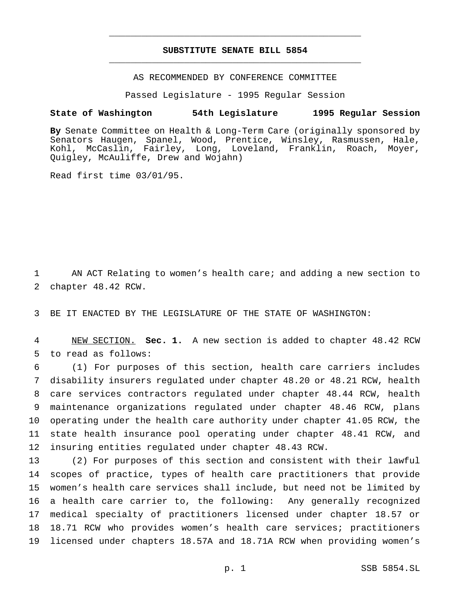## **SUBSTITUTE SENATE BILL 5854** \_\_\_\_\_\_\_\_\_\_\_\_\_\_\_\_\_\_\_\_\_\_\_\_\_\_\_\_\_\_\_\_\_\_\_\_\_\_\_\_\_\_\_\_\_\_\_

\_\_\_\_\_\_\_\_\_\_\_\_\_\_\_\_\_\_\_\_\_\_\_\_\_\_\_\_\_\_\_\_\_\_\_\_\_\_\_\_\_\_\_\_\_\_\_

AS RECOMMENDED BY CONFERENCE COMMITTEE

Passed Legislature - 1995 Regular Session

#### **State of Washington 54th Legislature 1995 Regular Session**

**By** Senate Committee on Health & Long-Term Care (originally sponsored by Senators Haugen, Spanel, Wood, Prentice, Winsley, Rasmussen, Hale, Kohl, McCaslin, Fairley, Long, Loveland, Franklin, Roach, Moyer, Quigley, McAuliffe, Drew and Wojahn)

Read first time 03/01/95.

 AN ACT Relating to women's health care; and adding a new section to chapter 48.42 RCW.

BE IT ENACTED BY THE LEGISLATURE OF THE STATE OF WASHINGTON:

 NEW SECTION. **Sec. 1.** A new section is added to chapter 48.42 RCW to read as follows:

 (1) For purposes of this section, health care carriers includes disability insurers regulated under chapter 48.20 or 48.21 RCW, health care services contractors regulated under chapter 48.44 RCW, health maintenance organizations regulated under chapter 48.46 RCW, plans operating under the health care authority under chapter 41.05 RCW, the state health insurance pool operating under chapter 48.41 RCW, and insuring entities regulated under chapter 48.43 RCW.

 (2) For purposes of this section and consistent with their lawful scopes of practice, types of health care practitioners that provide women's health care services shall include, but need not be limited by a health care carrier to, the following: Any generally recognized medical specialty of practitioners licensed under chapter 18.57 or 18.71 RCW who provides women's health care services; practitioners licensed under chapters 18.57A and 18.71A RCW when providing women's